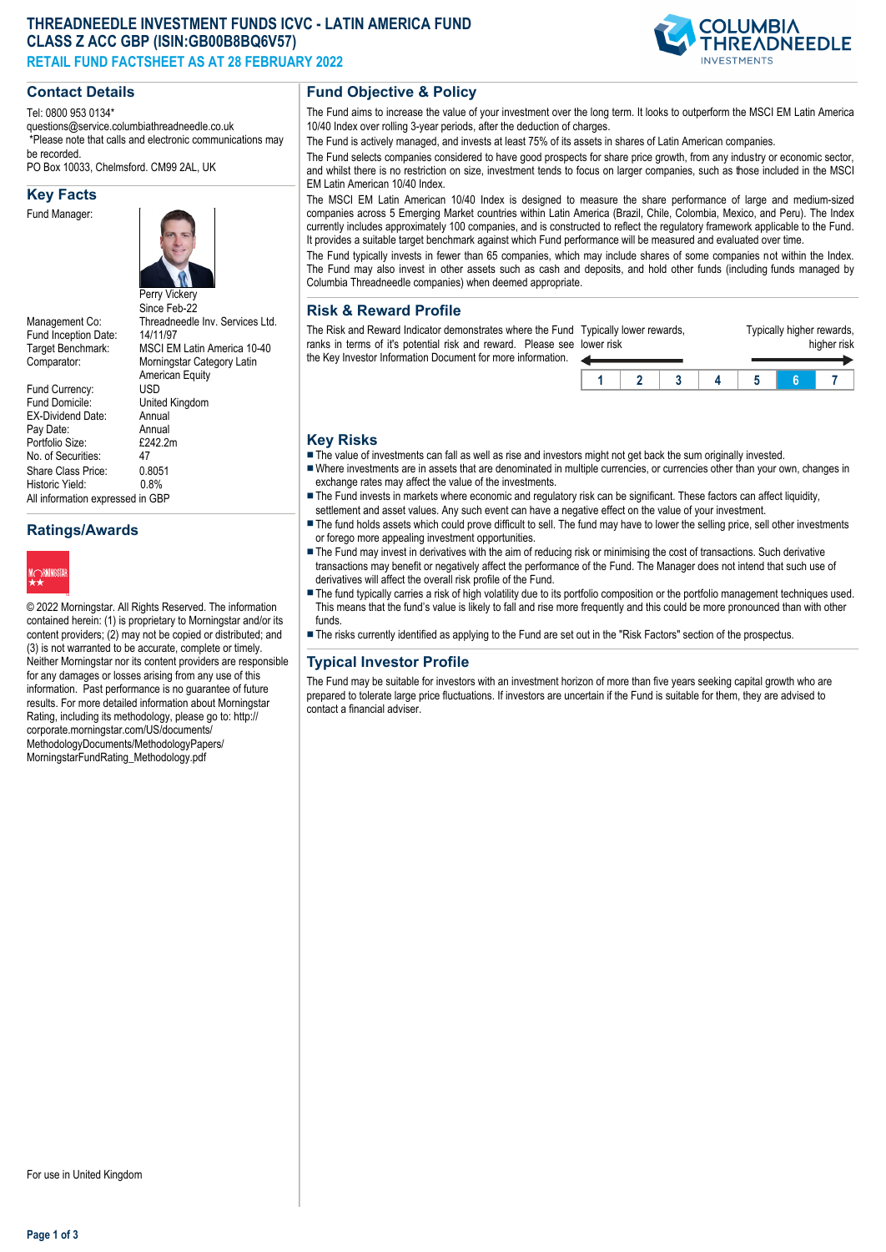# **THREADNEEDLE INVESTMENT FUNDS ICVC - LATIN AMERICA FUND CLASS Z ACC GBP (ISIN:GB00B8BQ6V57) RETAIL FUND FACTSHEET AS AT 28 FEBRUARY 2022**

# **Contact Details**

Tel: 0800 953 0134\*

questions@service.columbiathreadneedle.co.uk \*Please note that calls and electronic communications may

be recorded. PO Box 10033, Chelmsford. CM99 2AL, UK

## **Key Facts**

Fund Manager:



Fund Inception Date:<br>Target Benchmark:

Fund Currency:<br>Fund Domicile:

No. of Securities:

Historic Yield:

Perry Vickery Since Feb-22 Management Co: Threadneedle Inv. Services Ltd.<br>Fund Incention Date: 14/11/97 MSCI EM Latin America 10-40 Comparator: Morningstar Category Latin American Equity<br>USD United Kingdom<br>Annual EX-Dividend Date: Annual<br>Pav Date: Annual Pay Date: Annual<br>Portfolio Size: F242.2m Portfolio Size: £2<br>No. of Securities: 47 Share Class Price: 0.8051<br>Historic Yield: 0.8% All information expressed in GBP

# **Ratings/Awards**



© 2022 Morningstar. All Rights Reserved. The information contained herein: (1) is proprietary to Morningstar and/or its content providers; (2) may not be copied or distributed; and (3) is not warranted to be accurate, complete or timely. Neither Morningstar nor its content providers are responsible for any damages or losses arising from any use of this information. Past performance is no guarantee of future results. For more detailed information about Morningstar Rating, including its methodology, please go to: http:// corporate.morningstar.com/US/documents/ MethodologyDocuments/MethodologyPapers/ MorningstarFundRating\_Methodology.pdf

## **Fund Objective & Policy**

The Fund aims to increase the value of your investment over the long term. It looks to outperform the MSCI EM Latin America 10/40 Index over rolling 3-year periods, after the deduction of charges.

The Fund is actively managed, and invests at least 75% of its assets in shares of Latin American companies.

The Fund selects companies considered to have good prospects for share price growth, from any industry or economic sector, and whilst there is no restriction on size, investment tends to focus on larger companies, such as those included in the MSCI EM Latin American 10/40 Index.

The MSCI EM Latin American 10/40 Index is designed to measure the share performance of large and medium-sized companies across 5 Emerging Market countries within Latin America (Brazil, Chile, Colombia, Mexico, and Peru). The Index currently includes approximately 100 companies, and is constructed to reflect the regulatory framework applicable to the Fund. It provides a suitable target benchmark against which Fund performance will be measured and evaluated over time.

The Fund typically invests in fewer than 65 companies, which may include shares of some companies not within the Index. The Fund may also invest in other assets such as cash and deposits, and hold other funds (including funds managed by Columbia Threadneedle companies) when deemed appropriate.

#### **Risk & Reward Profile**

The Risk and Reward Indicator demonstrates where the Fund Typically lower rewards, ranks in terms of it's potential risk and reward. Please see lower risk the Key Investor Information Document for more information.  $\leftarrow$ 

| er risk | ically lower rewards. |  | Typically higher rewards,<br>higher risk |  |  |  |  |
|---------|-----------------------|--|------------------------------------------|--|--|--|--|
| и       |                       |  |                                          |  |  |  |  |

### **Key Risks**

- The value of investments can fall as well as rise and investors might not get back the sum originally invested.
- nWhere investments are in assets that are denominated in multiple currencies, or currencies other than your own, changes in exchange rates may affect the value of the investments.
- The Fund invests in markets where economic and regulatory risk can be significant. These factors can affect liquidity, settlement and asset values. Any such event can have a negative effect on the value of your investment.
- The fund holds assets which could prove difficult to sell. The fund may have to lower the selling price, sell other investments or forego more appealing investment opportunities.
- The Fund may invest in derivatives with the aim of reducing risk or minimising the cost of transactions. Such derivative transactions may benefit or negatively affect the performance of the Fund. The Manager does not intend that such use of derivatives will affect the overall risk profile of the Fund.
- The fund typically carries a risk of high volatility due to its portfolio composition or the portfolio management techniques used. This means that the fund's value is likely to fall and rise more frequently and this could be more pronounced than with other funds.
- n The risks currently identified as applying to the Fund are set out in the "Risk Factors" section of the prospectus.

## **Typical Investor Profile**

The Fund may be suitable for investors with an investment horizon of more than five years seeking capital growth who are prepared to tolerate large price fluctuations. If investors are uncertain if the Fund is suitable for them, they are advised to contact a financial adviser.

**Page 1 of 3**

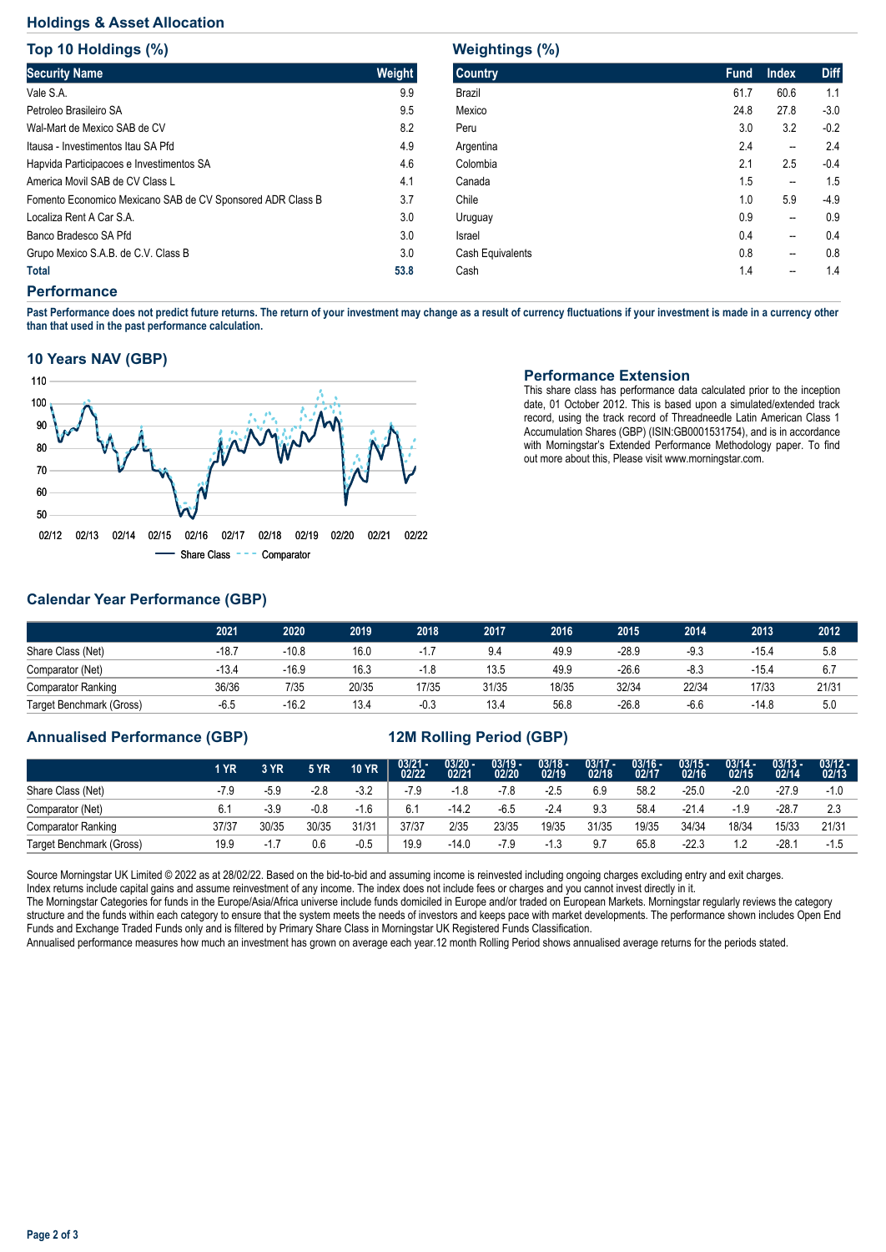# **Holdings & Asset Allocation**

**Top 10 Holdings (%)**

| <b>Security Name</b>                                       | Weight |
|------------------------------------------------------------|--------|
| Vale S.A.                                                  | 9.9    |
| Petroleo Brasileiro SA                                     | 9.5    |
| Wal-Mart de Mexico SAB de CV                               | 8.2    |
| Itausa - Investimentos Itau SA Pfd                         | 4.9    |
| Hapvida Participacoes e Investimentos SA                   | 4.6    |
| America Movil SAB de CV Class L                            | 4.1    |
| Fomento Economico Mexicano SAB de CV Sponsored ADR Class B | 3.7    |
| Localiza Rent A Car S.A.                                   | 3.0    |
| Banco Bradesco SA Pfd                                      | 3.0    |
| Grupo Mexico S.A.B. de C.V. Class B                        | 3.0    |
| Total                                                      | 53.8   |

#### **Weightings (%)**

| <b>Country</b>   | <b>Fund</b> | <b>Index</b>   | <b>Diff</b> |
|------------------|-------------|----------------|-------------|
| Brazil           | 61.7        | 60.6           | 1.1         |
| Mexico           | 24.8        | 27.8           | $-3.0$      |
| Peru             | 3.0         | 3.2            | $-0.2$      |
| Argentina        | 2.4         | --             | 2.4         |
| Colombia         | 2.1         | 2.5            | $-0.4$      |
| Canada           | 1.5         | --             | 1.5         |
| Chile            | 1.0         | 5.9            | $-4.9$      |
| Uruguay          | 0.9         | --             | 0.9         |
| Israel           | 0.4         | $\overline{a}$ | 0.4         |
| Cash Equivalents | 0.8         | --             | 0.8         |
| Cash             | 1.4         | --             | 1.4         |

#### **Performance**

**Past Performance does not predict future returns. The return of your investment may change as a result of currency fluctuations if your investment is made in a currency other than that used in the past performance calculation.** 

#### **10 Years NAV (GBP)**



## **Performance Extension**

This share class has performance data calculated prior to the inception date, 01 October 2012. This is based upon a simulated/extended track record, using the track record of Threadneedle Latin American Class 1 Accumulation Shares (GBP) (ISIN:GB0001531754), and is in accordance with Morningstar's Extended Performance Methodology paper. To find out more about this, Please visit www.morningstar.com.

# **Calendar Year Performance (GBP)**

|                           | 2021    | 2020    | 2019  | 2018   | 2017  | 2016  | 2015    | 2014   | 2013    | 2012  |
|---------------------------|---------|---------|-------|--------|-------|-------|---------|--------|---------|-------|
| Share Class (Net)         | $-18.7$ | -10.8   | 16.0  |        | 9.4   | 49.9  | $-28.9$ | $-9.3$ | $-15.4$ | 5.8   |
| Comparator (Net)          | $-13.4$ | -16.9   | 16.3  | $-1.8$ | 13.5  | 49.9  | $-26.6$ | $-8.3$ | $-15.4$ | 6.7   |
| <b>Comparator Ranking</b> | 36/36   | 7/35    | 20/35 | 17/35  | 31/35 | 18/35 | 32/34   | 22/34  | 17/33   | 21/31 |
| Target Benchmark (Gross)  | $-6.5$  | $-16.2$ | 13.4  | $-0.3$ | 13.4  | 56.8  | $-26.8$ | $-6.6$ | $-14.8$ | 5.0   |

# **Annualised Performance (GBP) 12M Rolling Period (GBP)**

|                           | 1 YR   | 3 YR       | <b>5 YR</b> | <b>10 YR</b> | $03/21 - 02/22$ | $\frac{03/20 - 0.21}{02/21}$ | $\frac{03/19}{02/20}$ | $\frac{03/18}{02/19}$ | $03/17 -$<br>02/18 | $03/16 -$<br>02/17 | $03/15 -$<br>02/16 | $03/14 -$<br>02/15 | $03/13 -$<br>02/14 | $03/12 -$<br>02/13 |
|---------------------------|--------|------------|-------------|--------------|-----------------|------------------------------|-----------------------|-----------------------|--------------------|--------------------|--------------------|--------------------|--------------------|--------------------|
| Share Class (Net)         | $-7.9$ | -5.9       | $-2.8$      | $-3.2$       | $-7.9$          | $-1.8$                       | -7.8                  | $-2.5$                | 6.9                | 58.2               | $-25.0$            | $-2.0$             | $-27.9$            | $-1.0$             |
| Comparator (Net)          |        | $-3.9$     | $-0.8$      | $-1.6$       | 6.1             | $-14.2$                      | $-6.5$                | $-2.4$                | 9.3                | 58.4               | $-21.4$            | -1.9               | $-28.7$            | 2.3                |
| <b>Comparator Ranking</b> | 37/37  | 30/35      | 30/35       | 31/31        | 37/37           | 2/35                         | 23/35                 | 19/35                 | 31/35              | 19/35              | 34/34              | 18/34              | 15/33              | 21/31              |
| Target Benchmark (Gross)  | 19.9   | 17<br>$-1$ | 0.6         | $-0.5$       | 19.9            | $-14.0$                      | -7.9                  |                       | 9.7                | 65.8               | $-22.3$            | 1.2                | $-28.$             | -1.5               |

Source Morningstar UK Limited © 2022 as at 28/02/22. Based on the bid-to-bid and assuming income is reinvested including ongoing charges excluding entry and exit charges.

Index returns include capital gains and assume reinvestment of any income. The index does not include fees or charges and you cannot invest directly in it.

The Morningstar Categories for funds in the Europe/Asia/Africa universe include funds domiciled in Europe and/or traded on European Markets. Morningstar regularly reviews the category structure and the funds within each category to ensure that the system meets the needs of investors and keeps pace with market developments. The performance shown includes Open End Funds and Exchange Traded Funds only and is filtered by Primary Share Class in Morningstar UK Registered Funds Classification.

Annualised performance measures how much an investment has grown on average each year.12 month Rolling Period shows annualised average returns for the periods stated.